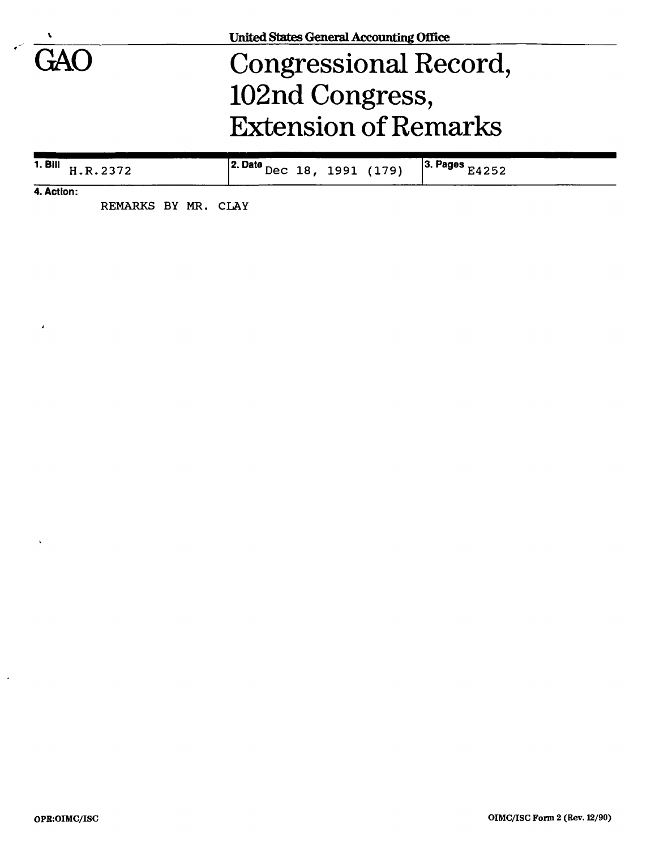|        | <b>United States General Accounting Office</b>                                                                                                               |  |  |
|--------|--------------------------------------------------------------------------------------------------------------------------------------------------------------|--|--|
| GAO    | Congressional Record,                                                                                                                                        |  |  |
|        | 102nd Congress,                                                                                                                                              |  |  |
|        | <b>Extension of Remarks</b>                                                                                                                                  |  |  |
| . Bill | I3. Pages <sub>—</sub><br>l 2. Date _<br>in the second community of the second second second and second the second second second second second second second |  |  |

| <b>1. Bill</b><br>H.R.2372 | 2. Date $_{\text{D}}$<br>18.<br>Dec. | (179)<br>1991 | $ 3.$ Pages<br>E4252 |
|----------------------------|--------------------------------------|---------------|----------------------|
| .                          |                                      |               |                      |

**4. Action:** 

 $\lambda$ 

 $\sim 30$ 

 $\mathcal{L}^{(1)}$  .

 $\langle \cdot \rangle$ 

 $\cdot$ 

REMARKS BY MR. CLAY